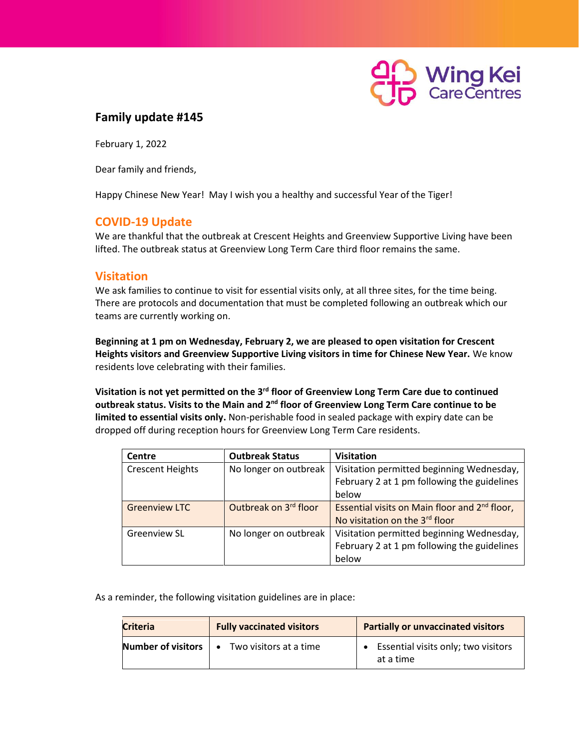

## **Family update #145**

February 1, 2022

Dear family and friends,

Happy Chinese New Year! May I wish you a healthy and successful Year of the Tiger!

## **COVID-19 Update**

We are thankful that the outbreak at Crescent Heights and Greenview Supportive Living have been lifted. The outbreak status at Greenview Long Term Care third floor remains the same.

## **Visitation**

We ask families to continue to visit for essential visits only, at all three sites, for the time being. There are protocols and documentation that must be completed following an outbreak which our teams are currently working on.

**Beginning at 1 pm on Wednesday, February 2, we are pleased to open visitation for Crescent Heights visitors and Greenview Supportive Living visitors in time for Chinese New Year.** We know residents love celebrating with their families.

**Visitation is not yet permitted on the 3rd floor of Greenview Long Term Care due to continued outbreak status. Visits to the Main and 2 nd floor of Greenview Long Term Care continue to be limited to essential visits only.** Non-perishable food in sealed package with expiry date can be dropped off during reception hours for Greenview Long Term Care residents.

| <b>Centre</b>           | <b>Outbreak Status</b> | <b>Visitation</b>                                         |
|-------------------------|------------------------|-----------------------------------------------------------|
| <b>Crescent Heights</b> | No longer on outbreak  | Visitation permitted beginning Wednesday,                 |
|                         |                        | February 2 at 1 pm following the guidelines               |
|                         |                        | below                                                     |
| <b>Greenview LTC</b>    | Outbreak on 3rd floor  | Essential visits on Main floor and 2 <sup>nd</sup> floor, |
|                         |                        | No visitation on the 3rd floor                            |
| <b>Greenview SL</b>     | No longer on outbreak  | Visitation permitted beginning Wednesday,                 |
|                         |                        | February 2 at 1 pm following the guidelines               |
|                         |                        | below                                                     |

As a reminder, the following visitation guidelines are in place:

| <b>Criteria</b>    | <b>Fully vaccinated visitors</b>    | <b>Partially or unvaccinated visitors</b>        |
|--------------------|-------------------------------------|--------------------------------------------------|
| Number of visitors | Two visitors at a time<br>$\bullet$ | Essential visits only; two visitors<br>at a time |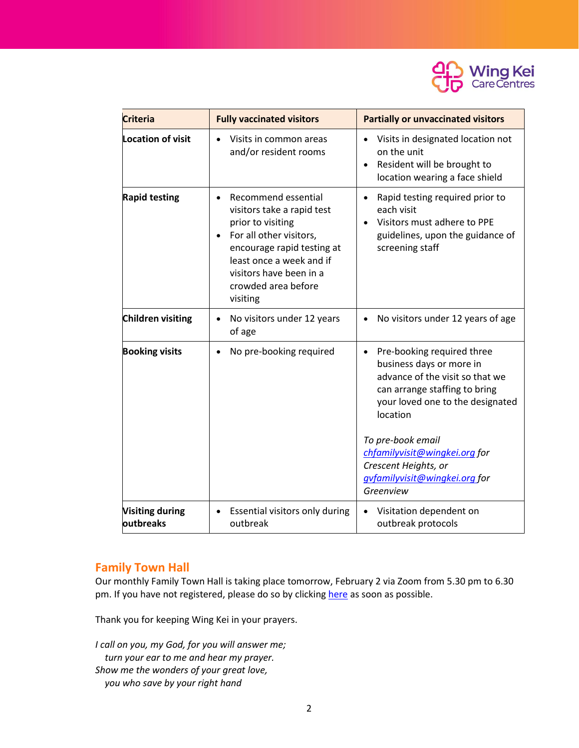

| <b>Criteria</b>          | <b>Fully vaccinated visitors</b>                                                                                                                                                                                          | <b>Partially or unvaccinated visitors</b>                                                                                                                                                                                                                                                                           |
|--------------------------|---------------------------------------------------------------------------------------------------------------------------------------------------------------------------------------------------------------------------|---------------------------------------------------------------------------------------------------------------------------------------------------------------------------------------------------------------------------------------------------------------------------------------------------------------------|
| <b>Location of visit</b> | Visits in common areas<br>and/or resident rooms                                                                                                                                                                           | Visits in designated location not<br>on the unit<br>Resident will be brought to<br>location wearing a face shield                                                                                                                                                                                                   |
| <b>Rapid testing</b>     | Recommend essential<br>visitors take a rapid test<br>prior to visiting<br>For all other visitors,<br>encourage rapid testing at<br>least once a week and if<br>visitors have been in a<br>crowded area before<br>visiting | Rapid testing required prior to<br>each visit<br>Visitors must adhere to PPE<br>guidelines, upon the guidance of<br>screening staff                                                                                                                                                                                 |
| Children visiting        | No visitors under 12 years<br>of age                                                                                                                                                                                      | No visitors under 12 years of age                                                                                                                                                                                                                                                                                   |
| <b>Booking visits</b>    | No pre-booking required<br>$\bullet$                                                                                                                                                                                      | Pre-booking required three<br>$\bullet$<br>business days or more in<br>advance of the visit so that we<br>can arrange staffing to bring<br>your loved one to the designated<br>location<br>To pre-book email<br>chfamilyvisit@wingkei.org for<br>Crescent Heights, or<br>gvfamilyvisit@wingkei.org for<br>Greenview |
| <b>Visiting during</b>   | Essential visitors only during                                                                                                                                                                                            | Visitation dependent on                                                                                                                                                                                                                                                                                             |
| <b>loutbreaks</b>        | outbreak                                                                                                                                                                                                                  | outbreak protocols                                                                                                                                                                                                                                                                                                  |

## **Family Town Hall**

Our monthly Family Town Hall is taking place tomorrow, February 2 via Zoom from 5.30 pm to 6.30 pm. If you have not registered, please do so by clicking [here](https://docs.google.com/forms/d/e/1FAIpQLSceR1IF34Uq-UgAq-xVdV2H0EEtbA7SJsiQL1n8oEWhspchYg/viewform?usp=sf_link) as soon as possible.

Thank you for keeping Wing Kei in your prayers.

*I call on you, my God, for you will answer me; turn your ear to me and hear my prayer. Show me the wonders of your great love, you who save by your right hand*